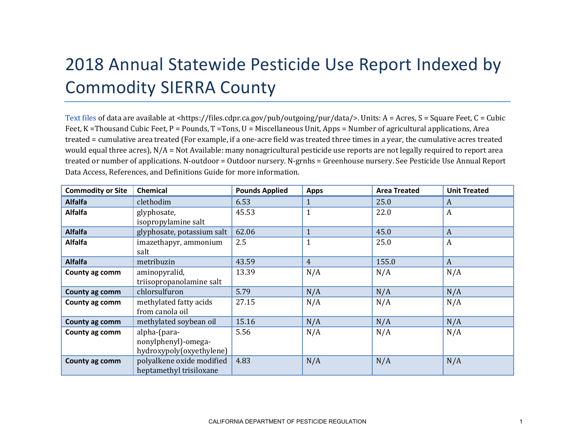## 2018 Annual Statewide Pesticide Use Report Indexed by Commodity SIERRA County

[Text files](https://files.cdpr.ca.gov/pub/outgoing/pur/data/) of data are available at <https://files.cdpr.ca.gov/pub/outgoing/pur/data/>. Units: A = Acres, S = Square Feet, C = Cubic Feet, K = Thousand Cubic Feet, P = Pounds, T = Tons, U = Miscellaneous Unit, Apps = Number of agricultural applications, Area treated = cumulative area treated (For example, if a one-acre field was treated three times in a year, the cumulative acres treated would equal three acres),  $N/A = Not$  Available: many nonagricultural pesticide use reports are not legally required to report area treated or number of applications. N-outdoor = Outdoor nursery. N-grnhs = Greenhouse nursery. See Pesticide Use Annual Report Data Access, References, and Definitions Guide for more information.

| <b>Commodity or Site</b> | <b>Chemical</b>            | <b>Pounds Applied</b> | <b>Apps</b>    | <b>Area Treated</b> | <b>Unit Treated</b> |
|--------------------------|----------------------------|-----------------------|----------------|---------------------|---------------------|
| <b>Alfalfa</b>           | clethodim                  | 6.53                  | $\mathbf{1}$   | 25.0                | A                   |
| <b>Alfalfa</b>           | glyphosate,                | 45.53                 | $\mathbf{1}$   | 22.0                | A                   |
|                          | isopropylamine salt        |                       |                |                     |                     |
| <b>Alfalfa</b>           | glyphosate, potassium salt | 62.06                 | $\mathbf{1}$   | 45.0                | A                   |
| <b>Alfalfa</b>           | imazethapyr, ammonium      | 2.5                   | $\mathbf{1}$   | 25.0                | A                   |
|                          | salt                       |                       |                |                     |                     |
| <b>Alfalfa</b>           | metribuzin                 | 43.59                 | $\overline{4}$ | 155.0               | $\boldsymbol{A}$    |
| County ag comm           | aminopyralid,              | 13.39                 | N/A            | N/A                 | N/A                 |
|                          | triisopropanolamine salt   |                       |                |                     |                     |
| County ag comm           | chlorsulfuron              | 5.79                  | N/A            | N/A                 | N/A                 |
| County ag comm           | methylated fatty acids     | 27.15                 | N/A            | N/A                 | N/A                 |
|                          | from canola oil            |                       |                |                     |                     |
| County ag comm           | methylated soybean oil     | 15.16                 | N/A            | N/A                 | N/A                 |
| County ag comm           | alpha-(para-               | 5.56                  | N/A            | N/A                 | N/A                 |
|                          | nonylphenyl)-omega-        |                       |                |                     |                     |
|                          | hydroxypoly(oxyethylene)   |                       |                |                     |                     |
| County ag comm           | polyalkene oxide modified  | 4.83                  | N/A            | N/A                 | N/A                 |
|                          | heptamethyl trisiloxane    |                       |                |                     |                     |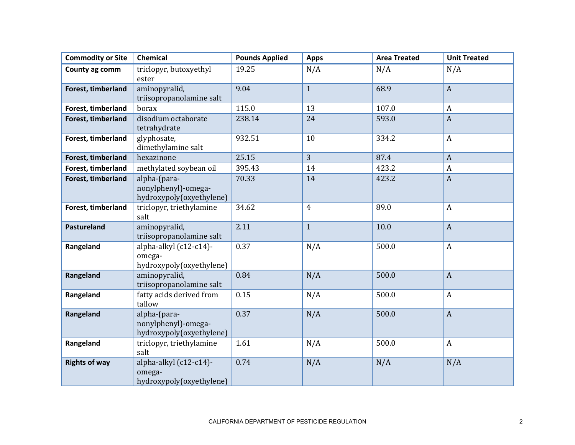| <b>Commodity or Site</b> | <b>Chemical</b>                                                 | <b>Pounds Applied</b> | <b>Apps</b>    | <b>Area Treated</b> | <b>Unit Treated</b> |
|--------------------------|-----------------------------------------------------------------|-----------------------|----------------|---------------------|---------------------|
| County ag comm           | triclopyr, butoxyethyl<br>ester                                 | 19.25                 | N/A            | N/A                 | N/A                 |
| Forest, timberland       | aminopyralid,<br>triisopropanolamine salt                       | 9.04                  | $\mathbf{1}$   | 68.9                | $\mathbf{A}$        |
| Forest, timberland       | borax                                                           | 115.0                 | 13             | 107.0               | A                   |
| Forest, timberland       | disodium octaborate<br>tetrahydrate                             | 238.14                | 24             | 593.0               | $\boldsymbol{A}$    |
| Forest, timberland       | glyphosate,<br>dimethylamine salt                               | 932.51                | 10             | 334.2               | $\boldsymbol{A}$    |
| Forest, timberland       | hexazinone                                                      | 25.15                 | $\overline{3}$ | 87.4                | $\boldsymbol{A}$    |
| Forest, timberland       | methylated soybean oil                                          | 395.43                | 14             | 423.2               | $\boldsymbol{A}$    |
| Forest, timberland       | alpha-(para-<br>nonylphenyl)-omega-<br>hydroxypoly(oxyethylene) | 70.33                 | 14             | 423.2               | $\boldsymbol{A}$    |
| Forest, timberland       | triclopyr, triethylamine<br>salt                                | 34.62                 | $\overline{4}$ | 89.0                | $\boldsymbol{A}$    |
| Pastureland              | aminopyralid,<br>triisopropanolamine salt                       | 2.11                  | $\mathbf{1}$   | 10.0                | $\mathbf{A}$        |
| Rangeland                | alpha-alkyl (c12-c14)-<br>omega-<br>hydroxypoly(oxyethylene)    | 0.37                  | N/A            | 500.0               | $\boldsymbol{A}$    |
| Rangeland                | aminopyralid,<br>triisopropanolamine salt                       | 0.84                  | N/A            | 500.0               | $\boldsymbol{A}$    |
| Rangeland                | fatty acids derived from<br>tallow                              | 0.15                  | N/A            | 500.0               | $\boldsymbol{A}$    |
| Rangeland                | alpha-(para-<br>nonylphenyl)-omega-<br>hydroxypoly(oxyethylene) | 0.37                  | N/A            | 500.0               | $\boldsymbol{A}$    |
| Rangeland                | triclopyr, triethylamine<br>salt                                | 1.61                  | N/A            | 500.0               | $\boldsymbol{A}$    |
| <b>Rights of way</b>     | alpha-alkyl (c12-c14)-<br>omega-<br>hydroxypoly(oxyethylene)    | 0.74                  | N/A            | N/A                 | N/A                 |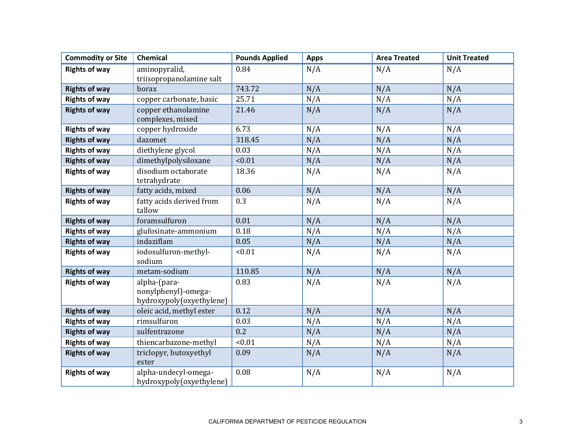| <b>Commodity or Site</b> | <b>Chemical</b>                                                 | <b>Pounds Applied</b> | <b>Apps</b> | <b>Area Treated</b> | <b>Unit Treated</b> |
|--------------------------|-----------------------------------------------------------------|-----------------------|-------------|---------------------|---------------------|
| <b>Rights of way</b>     | aminopyralid,<br>triisopropanolamine salt                       | 0.84                  | N/A         | N/A                 | N/A                 |
| <b>Rights of way</b>     | borax                                                           | 743.72                | N/A         | N/A                 | N/A                 |
| <b>Rights of way</b>     | copper carbonate, basic                                         | 25.71                 | N/A         | N/A                 | N/A                 |
| <b>Rights of way</b>     | copper ethanolamine<br>complexes, mixed                         | 21.46                 | N/A         | N/A                 | N/A                 |
| <b>Rights of way</b>     | copper hydroxide                                                | 6.73                  | N/A         | N/A                 | N/A                 |
| <b>Rights of way</b>     | dazomet                                                         | 318.45                | N/A         | N/A                 | N/A                 |
| <b>Rights of way</b>     | diethylene glycol                                               | 0.03                  | N/A         | N/A                 | N/A                 |
| <b>Rights of way</b>     | dimethylpolysiloxane                                            | < 0.01                | N/A         | N/A                 | N/A                 |
| <b>Rights of way</b>     | disodium octaborate<br>tetrahydrate                             | 18.36                 | N/A         | N/A                 | N/A                 |
| <b>Rights of way</b>     | fatty acids, mixed                                              | 0.06                  | N/A         | N/A                 | N/A                 |
| <b>Rights of way</b>     | fatty acids derived from<br>tallow                              | 0.3                   | N/A         | N/A                 | N/A                 |
| <b>Rights of way</b>     | foramsulfuron                                                   | 0.01                  | N/A         | N/A                 | N/A                 |
| <b>Rights of way</b>     | glufosinate-ammonium                                            | 0.18                  | N/A         | N/A                 | N/A                 |
| <b>Rights of way</b>     | indaziflam                                                      | 0.05                  | N/A         | N/A                 | N/A                 |
| <b>Rights of way</b>     | iodosulfuron-methyl-<br>sodium                                  | < 0.01                | N/A         | N/A                 | N/A                 |
| <b>Rights of way</b>     | metam-sodium                                                    | 110.85                | N/A         | N/A                 | N/A                 |
| <b>Rights of way</b>     | alpha-(para-<br>nonylphenyl)-omega-<br>hydroxypoly(oxyethylene) | 0.83                  | N/A         | N/A                 | N/A                 |
| <b>Rights of way</b>     | oleic acid, methyl ester                                        | 0.12                  | N/A         | N/A                 | N/A                 |
| <b>Rights of way</b>     | rimsulfuron                                                     | 0.03                  | N/A         | N/A                 | N/A                 |
| <b>Rights of way</b>     | sulfentrazone                                                   | 0.2                   | N/A         | N/A                 | N/A                 |
| <b>Rights of way</b>     | thiencarbazone-methyl                                           | < 0.01                | N/A         | N/A                 | N/A                 |
| <b>Rights of way</b>     | triclopyr, butoxyethyl<br>ester                                 | 0.09                  | N/A         | N/A                 | N/A                 |
| <b>Rights of way</b>     | alpha-undecyl-omega-<br>hydroxypoly(oxyethylene)                | 0.08                  | N/A         | N/A                 | N/A                 |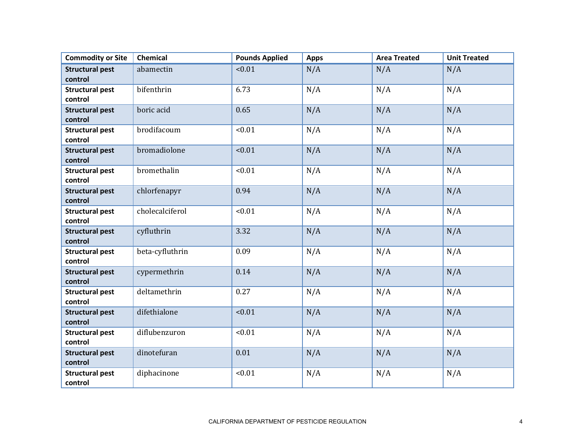| <b>Commodity or Site</b>          | <b>Chemical</b> | <b>Pounds Applied</b> | <b>Apps</b> | <b>Area Treated</b> | <b>Unit Treated</b> |
|-----------------------------------|-----------------|-----------------------|-------------|---------------------|---------------------|
| <b>Structural pest</b><br>control | abamectin       | < 0.01                | N/A         | N/A                 | N/A                 |
| <b>Structural pest</b><br>control | bifenthrin      | 6.73                  | N/A         | N/A                 | N/A                 |
| <b>Structural pest</b><br>control | boric acid      | 0.65                  | N/A         | N/A                 | N/A                 |
| <b>Structural pest</b><br>control | brodifacoum     | < 0.01                | N/A         | N/A                 | N/A                 |
| <b>Structural pest</b><br>control | bromadiolone    | < 0.01                | N/A         | N/A                 | N/A                 |
| <b>Structural pest</b><br>control | bromethalin     | < 0.01                | N/A         | N/A                 | N/A                 |
| <b>Structural pest</b><br>control | chlorfenapyr    | 0.94                  | N/A         | N/A                 | N/A                 |
| <b>Structural pest</b><br>control | cholecalciferol | < 0.01                | N/A         | N/A                 | N/A                 |
| <b>Structural pest</b><br>control | cyfluthrin      | 3.32                  | N/A         | N/A                 | N/A                 |
| <b>Structural pest</b><br>control | beta-cyfluthrin | 0.09                  | N/A         | N/A                 | N/A                 |
| <b>Structural pest</b><br>control | cypermethrin    | 0.14                  | N/A         | N/A                 | N/A                 |
| <b>Structural pest</b><br>control | deltamethrin    | 0.27                  | N/A         | N/A                 | N/A                 |
| <b>Structural pest</b><br>control | difethialone    | < 0.01                | N/A         | N/A                 | N/A                 |
| <b>Structural pest</b><br>control | diflubenzuron   | < 0.01                | N/A         | N/A                 | N/A                 |
| <b>Structural pest</b><br>control | dinotefuran     | 0.01                  | N/A         | N/A                 | N/A                 |
| <b>Structural pest</b><br>control | diphacinone     | < 0.01                | N/A         | N/A                 | N/A                 |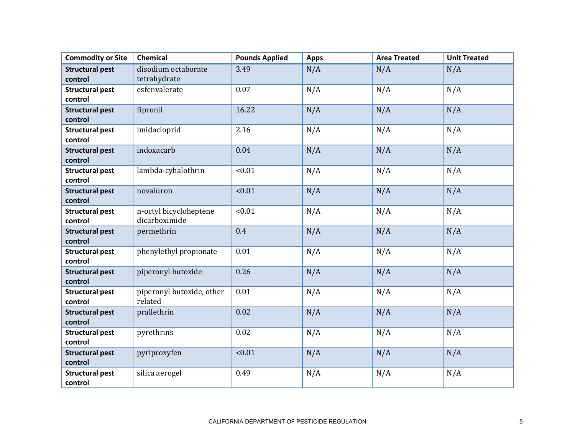| <b>Commodity or Site</b>          | Chemical                                | <b>Pounds Applied</b> | <b>Apps</b> | <b>Area Treated</b> | <b>Unit Treated</b> |
|-----------------------------------|-----------------------------------------|-----------------------|-------------|---------------------|---------------------|
| <b>Structural pest</b><br>control | disodium octaborate<br>tetrahydrate     | 3.49                  | N/A         | N/A                 | N/A                 |
| <b>Structural pest</b><br>control | esfenvalerate                           | 0.07                  | N/A         | N/A                 | N/A                 |
| <b>Structural pest</b><br>control | fipronil                                | 16.22                 | N/A         | N/A                 | N/A                 |
| <b>Structural pest</b><br>control | imidacloprid                            | 2.16                  | N/A         | N/A                 | N/A                 |
| <b>Structural pest</b><br>control | indoxacarb                              | 0.04                  | N/A         | N/A                 | N/A                 |
| <b>Structural pest</b><br>control | lambda-cyhalothrin                      | < 0.01                | N/A         | N/A                 | N/A                 |
| <b>Structural pest</b><br>control | novaluron                               | < 0.01                | N/A         | N/A                 | N/A                 |
| <b>Structural pest</b><br>control | n-octyl bicycloheptene<br>dicarboximide | < 0.01                | N/A         | N/A                 | N/A                 |
| <b>Structural pest</b><br>control | permethrin                              | 0.4                   | N/A         | N/A                 | N/A                 |
| <b>Structural pest</b><br>control | phenylethyl propionate                  | 0.01                  | N/A         | N/A                 | N/A                 |
| <b>Structural pest</b><br>control | piperonyl butoxide                      | 0.26                  | N/A         | N/A                 | N/A                 |
| <b>Structural pest</b><br>control | piperonyl butoxide, other<br>related    | 0.01                  | N/A         | N/A                 | N/A                 |
| <b>Structural pest</b><br>control | prallethrin                             | 0.02                  | N/A         | N/A                 | N/A                 |
| <b>Structural pest</b><br>control | pyrethrins                              | 0.02                  | N/A         | N/A                 | N/A                 |
| <b>Structural pest</b><br>control | pyriproxyfen                            | < 0.01                | N/A         | N/A                 | N/A                 |
| <b>Structural pest</b><br>control | silica aerogel                          | 0.49                  | N/A         | N/A                 | N/A                 |